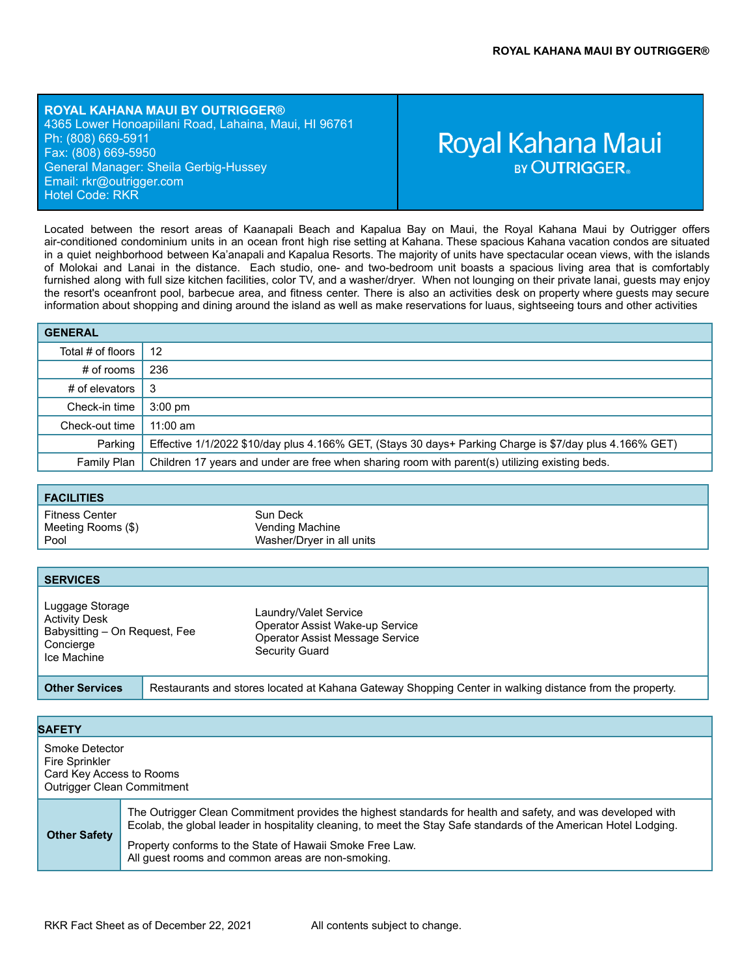**ROYAL KAHANA MAUI BY OUTRIGGER®** 4365 Lower Honoapiilani Road, Lahaina, Maui, HI 96761 Ph: (808) 669-5911 Fax: (808) 669-5950 General Manager: Sheila Gerbig-Hussey Email: rk[r@outrigger.com](mailto:orf@outrigger.com) Hotel Code: RKR

# Royal Kahana Maui **BY OUTRIGGER**

Located between the resort areas of Kaanapali Beach and Kapalua Bay on Maui, the Royal Kahana Maui by Outrigger offers air-conditioned condominium units in an ocean front high rise setting at Kahana. These spacious Kahana vacation condos are situated in a quiet neighborhood between Ka'anapali and Kapalua Resorts. The majority of units have spectacular ocean views, with the islands of Molokai and Lanai in the distance. Each studio, one- and two-bedroom unit boasts a spacious living area that is comfortably furnished along with full size kitchen facilities, color TV, and a washer/dryer. When not lounging on their private lanai, guests may enjoy the resort's oceanfront pool, barbecue area, and fitness center. There is also an activities desk on property where guests may secure information about shopping and dining around the island as well as make reservations for luaus, sightseeing tours and other activities

| <b>GENERAL</b>    |                                                                                                         |
|-------------------|---------------------------------------------------------------------------------------------------------|
| Total # of floors | 12                                                                                                      |
| # of rooms        | 236                                                                                                     |
| # of elevators    | -3                                                                                                      |
| Check-in time     | $3:00 \text{ pm}$                                                                                       |
| Check-out time    | $11:00$ am                                                                                              |
| Parking           | Effective 1/1/2022 \$10/day plus 4.166% GET, (Stays 30 days+ Parking Charge is \$7/day plus 4.166% GET) |
| Family Plan       | Children 17 years and under are free when sharing room with parent(s) utilizing existing beds.          |

| <b>FACILITIES</b>                            |                                                          |  |
|----------------------------------------------|----------------------------------------------------------|--|
| Fitness Center<br>Meeting Rooms (\$)<br>Pool | Sun Deck<br>Vending Machine<br>Washer/Dryer in all units |  |

| <b>SERVICES</b>                                                                                      |                                                                                                                      |
|------------------------------------------------------------------------------------------------------|----------------------------------------------------------------------------------------------------------------------|
| Luggage Storage<br><b>Activity Desk</b><br>Babysitting - On Reguest, Fee<br>Concierge<br>Ice Machine | Laundry/Valet Service<br>Operator Assist Wake-up Service<br><b>Operator Assist Message Service</b><br>Security Guard |
| <b>Other Services</b>                                                                                | Restaurants and stores located at Kahana Gateway Shopping Center in walking distance from the property.              |

| Smoke Detector<br>Fire Sprinkler<br>Card Key Access to Rooms<br>Outrigger Clean Commitment<br>The Outrigger Clean Commitment provides the highest standards for health and safety, and was developed with<br>Ecolab, the global leader in hospitality cleaning, to meet the Stay Safe standards of the American Hotel Lodging.<br><b>Other Safety</b><br>Property conforms to the State of Hawaii Smoke Free Law.<br>All guest rooms and common areas are non-smoking. | <b>SAFETY</b> |  |
|------------------------------------------------------------------------------------------------------------------------------------------------------------------------------------------------------------------------------------------------------------------------------------------------------------------------------------------------------------------------------------------------------------------------------------------------------------------------|---------------|--|
|                                                                                                                                                                                                                                                                                                                                                                                                                                                                        |               |  |
|                                                                                                                                                                                                                                                                                                                                                                                                                                                                        |               |  |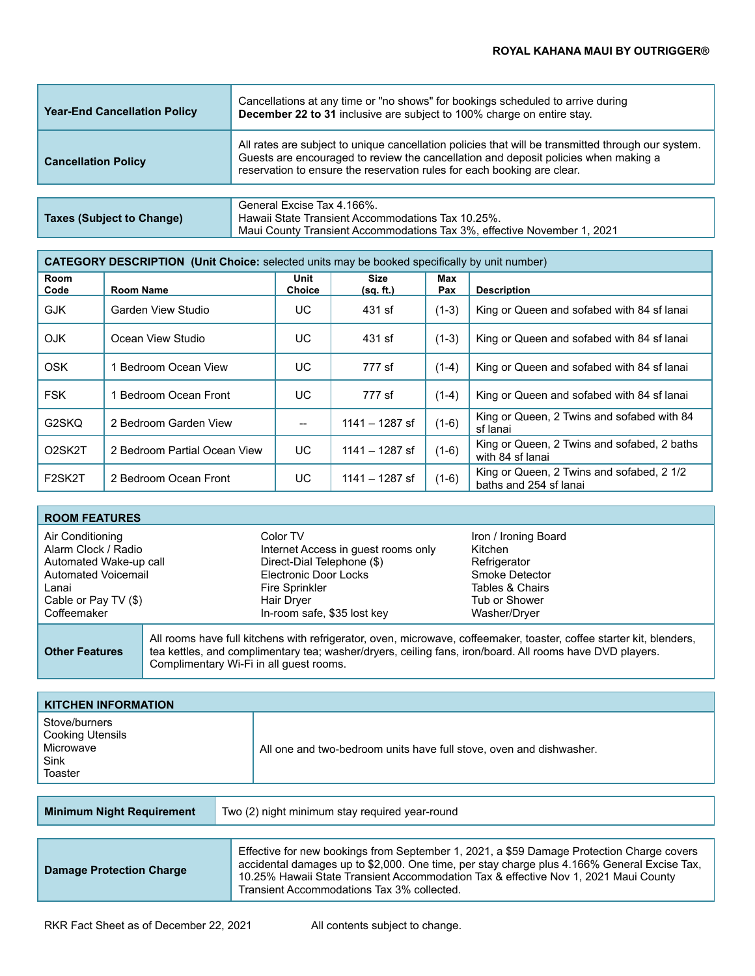| <b>Year-End Cancellation Policy</b> | Cancellations at any time or "no shows" for bookings scheduled to arrive during<br>December 22 to 31 inclusive are subject to 100% charge on entire stay.                                                                                                            |
|-------------------------------------|----------------------------------------------------------------------------------------------------------------------------------------------------------------------------------------------------------------------------------------------------------------------|
| <b>Cancellation Policy</b>          | All rates are subject to unique cancellation policies that will be transmitted through our system.<br>Guests are encouraged to review the cancellation and deposit policies when making a<br>reservation to ensure the reservation rules for each booking are clear. |
|                                     |                                                                                                                                                                                                                                                                      |
|                                     | General Excise Tax 4 166%                                                                                                                                                                                                                                            |

|                           | General Excise Tax 4.166%.                                              |
|---------------------------|-------------------------------------------------------------------------|
| Taxes (Subject to Change) | Hawaii State Transient Accommodations Tax 10.25%.                       |
|                           | Maui County Transient Accommodations Tax 3%, effective November 1, 2021 |

| <b>CATEGORY DESCRIPTION (Unit Choice:</b> selected units may be booked specifically by unit number) |                              |                       |                          |            |                                                                     |
|-----------------------------------------------------------------------------------------------------|------------------------------|-----------------------|--------------------------|------------|---------------------------------------------------------------------|
| Room<br>Code                                                                                        | Room Name                    | Unit<br><b>Choice</b> | <b>Size</b><br>(sq. ft.) | Max<br>Pax | <b>Description</b>                                                  |
| <b>GJK</b>                                                                                          | Garden View Studio           | UC.                   | 431 sf                   | $(1-3)$    | King or Queen and sofabed with 84 sf lanai                          |
| <b>OJK</b>                                                                                          | Ocean View Studio            | UC                    | 431 sf                   | $(1-3)$    | King or Queen and sofabed with 84 sf lanai                          |
| <b>OSK</b>                                                                                          | Bedroom Ocean View           | UC.                   | 777 sf                   | $(1-4)$    | King or Queen and sofabed with 84 sf lanai                          |
| <b>FSK</b>                                                                                          | Bedroom Ocean Front          | UC.                   | 777 sf                   | $(1-4)$    | King or Queen and sofabed with 84 sf lanai                          |
| G2SKQ                                                                                               | 2 Bedroom Garden View        | $\qquad \qquad -$     | 1141 – 1287 sf           | $(1-6)$    | King or Queen, 2 Twins and sofabed with 84<br>sf lanai              |
| O <sub>2</sub> SK <sub>2</sub> T                                                                    | 2 Bedroom Partial Ocean View | UC.                   | $1141 - 1287$ sf         | $(1-6)$    | King or Queen, 2 Twins and sofabed, 2 baths<br>with 84 sf lanai     |
| F <sub>2</sub> SK <sub>2</sub> T                                                                    | 2 Bedroom Ocean Front        | UC.                   | $1141 - 1287$ sf         | $(1-6)$    | King or Queen, 2 Twins and sofabed, 2 1/2<br>baths and 254 sf lanai |

| <b>ROOM FEATURES</b>                                                                                                                     |                                         |                                                                                                                                                                       |                                                                                                                       |
|------------------------------------------------------------------------------------------------------------------------------------------|-----------------------------------------|-----------------------------------------------------------------------------------------------------------------------------------------------------------------------|-----------------------------------------------------------------------------------------------------------------------|
| Air Conditioning<br>Alarm Clock / Radio<br>Automated Wake-up call<br>Automated Voicemail<br>Lanai<br>Cable or Pay TV (\$)<br>Coffeemaker |                                         | Color TV<br>Internet Access in guest rooms only<br>Direct-Dial Telephone (\$)<br>Electronic Door Locks<br>Fire Sprinkler<br>Hair Dryer<br>In-room safe, \$35 lost key | Iron / Ironing Board<br>Kitchen<br>Refrigerator<br>Smoke Detector<br>Tables & Chairs<br>Tub or Shower<br>Washer/Dryer |
| <b>Other Features</b>                                                                                                                    | Complimentary Wi-Fi in all guest rooms. | tea kettles, and complimentary tea; washer/dryers, ceiling fans, iron/board. All rooms have DVD players.                                                              | All rooms have full kitchens with refrigerator, oven, microwave, coffeemaker, toaster, coffee starter kit, blenders,  |

| <b>KITCHEN INFORMATION</b>                                                      |  |                                                                                           |  |
|---------------------------------------------------------------------------------|--|-------------------------------------------------------------------------------------------|--|
| Stove/burners<br><b>Cooking Utensils</b><br>Microwave<br><b>Sink</b><br>Toaster |  | All one and two-bedroom units have full stove, oven and dishwasher.                       |  |
|                                                                                 |  |                                                                                           |  |
| <b>Minimum Night Requirement</b>                                                |  | Two (2) night minimum stay required year-round                                            |  |
|                                                                                 |  |                                                                                           |  |
|                                                                                 |  | Effective for new bookings from September 1, 2021, a \$59 Damage Protection Charge covers |  |

| <b>Damage Protection Charge</b> | Effective for new bookings from September 1, 2021, a \$59 Damage Protection Charge covers<br>accidental damages up to \$2,000. One time, per stay charge plus 4.166% General Excise Tax,<br>10.25% Hawaii State Transient Accommodation Tax & effective Nov 1, 2021 Maui County<br>Transient Accommodations Tax 3% collected. |
|---------------------------------|-------------------------------------------------------------------------------------------------------------------------------------------------------------------------------------------------------------------------------------------------------------------------------------------------------------------------------|
|---------------------------------|-------------------------------------------------------------------------------------------------------------------------------------------------------------------------------------------------------------------------------------------------------------------------------------------------------------------------------|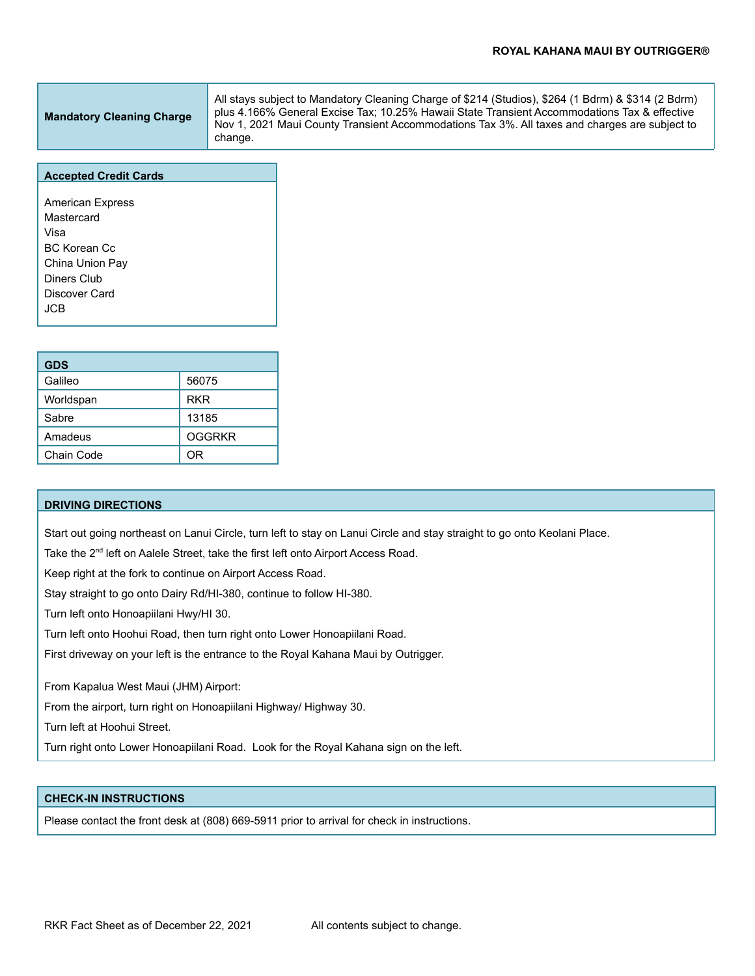| <b>Mandatory Cleaning Charge</b> | All stays subject to Mandatory Cleaning Charge of \$214 (Studios), \$264 (1 Bdrm) & \$314 (2 Bdrm)<br>plus 4.166% General Excise Tax: 10.25% Hawaii State Transient Accommodations Tax & effective<br>Nov 1, 2021 Maui County Transient Accommodations Tax 3%. All taxes and charges are subject to |
|----------------------------------|-----------------------------------------------------------------------------------------------------------------------------------------------------------------------------------------------------------------------------------------------------------------------------------------------------|
|                                  | change.                                                                                                                                                                                                                                                                                             |

#### **Accepted Credit Cards**

American Express Mastercard Visa BC Korean Cc China Union Pay Diners Club Discover Card JCB

| <b>GDS</b> |               |
|------------|---------------|
| Galileo    | 56075         |
| Worldspan  | <b>RKR</b>    |
| Sabre      | 13185         |
| Amadeus    | <b>OGGRKR</b> |
| Chain Code | 0R            |

#### **DRIVING DIRECTIONS**

Start out going northeast on Lanui Circle, turn left to stay on Lanui Circle and stay straight to go onto Keolani Place.

Take the 2<sup>nd</sup> left on Aalele Street, take the first left onto Airport Access Road.

Keep right at the fork to continue on Airport Access Road.

Stay straight to go onto Dairy Rd/HI-380, continue to follow HI-380.

Turn left onto Honoapiilani Hwy/HI 30.

Turn left onto Hoohui Road, then turn right onto Lower Honoapiilani Road.

First driveway on your left is the entrance to the Royal Kahana Maui by Outrigger.

From Kapalua West Maui (JHM) Airport:

From the airport, turn right on Honoapiilani Highway/ Highway 30.

Turn left at Hoohui Street.

Turn right onto Lower Honoapiilani Road. Look for the Royal Kahana sign on the left.

## **CHECK-IN INSTRUCTIONS**

Please contact the front desk at (808) 669-5911 prior to arrival for check in instructions.